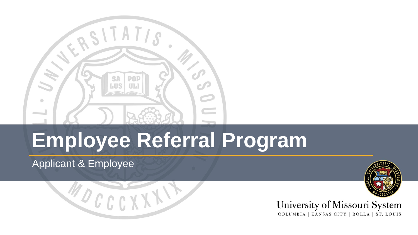

# **Employee Referral Program**

#### Applicant & Employee





#### University of Missouri System COLUMBIA | KANSAS CITY | ROLLA | ST. LOUIS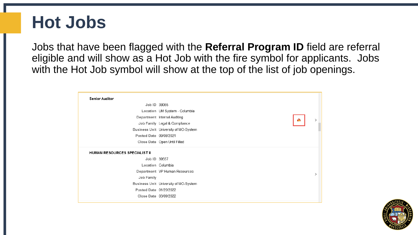#### **Hot Jobs**

Jobs that have been flagged with the **Referral Program ID** field are referral eligible and will show as a Hot Job with the fire symbol for applicants. Jobs with the Hot Job symbol will show at the top of the list of job openings.



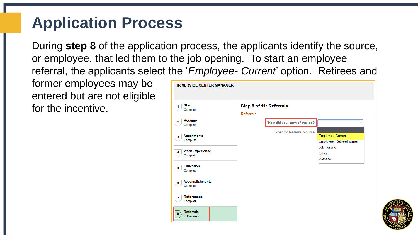#### **Application Process**

During **step 8** of the application process, the applicants identify the source, or employee, that led them to the job opening. To start an employee referral, the applicants select the '*Employee- Current*' option. Retirees and

former employees may be entered but are not eligible for the incentive.

| Step 8 of 11: Referrals<br><b>Referrals</b> |                                              |
|---------------------------------------------|----------------------------------------------|
| *How did you learn of the job?              | $\check{ }$                                  |
| <b>Specific Referral Source</b>             | Employee- Current<br>Employee-Retiree/Former |
|                                             | <b>Job Posting</b><br>Other<br>Website       |
|                                             |                                              |
|                                             |                                              |
|                                             |                                              |
|                                             |                                              |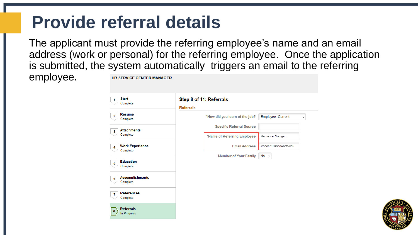#### **Provide referral details**

The applicant must provide the referring employee's name and an email address (work or personal) for the referring employee. Once the application is submitted, the system automatically triggers an email to the referring

employee.

| <b>Start</b><br>1<br>Complete                 | <b>Referrals</b> | Step 8 of 11: Referrals         |                                  |
|-----------------------------------------------|------------------|---------------------------------|----------------------------------|
| Resume<br>$\mathbf{2}$<br>Complete            |                  | *How did you learn of the job?  | Employee- Current<br>$\check{ }$ |
| <b>Attachments</b>                            |                  | <b>Specific Referral Source</b> |                                  |
| 3<br>Complete                                 |                  | *Name of Referring Employee     | Hermione Granger                 |
| <b>Work Experience</b><br>4<br>Complete       |                  | <b>Email Address</b>            | GrangerHJ@hogwarts.edu           |
| <b>Education</b><br>5<br>Complete             |                  | <b>Member of Your Family</b>    | $No \sim$                        |
| <b>Accomplishments</b><br>6<br>Complete       |                  |                                 |                                  |
| <b>References</b><br>$\mathbf{7}$<br>Complete |                  |                                 |                                  |
| <b>Referrals</b><br>In Progress               |                  |                                 |                                  |

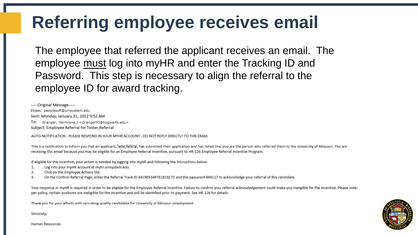## Referring employee receives email

The employee that referred the applicant receives an email. The employee must log into myHR and enter the Tracking ID and Password. This step is necessary to align the referral to the employee ID for award tracking.

-----Original Message-----From: peoplesoft@umsystem.edu Sent: Monday, January 31, 2022 9:52 AM To: Granger, Hermione J <GrangerHJ@hogwarts.edu> Subject: Employee Referral for Tester, Referral

AUTO-NOTIFICATION - PLEASE RESPOND IN YOUR MYHR ACCOUNT - DO NOT REPLY DIRECTLY TO THIS EMAIL

This is a notification to inform you that an applicant, Tester, Referral, has submitted their application and has noted that you are the person who referred them to the University of Missouri. You are receiving this email because you may be eligible for an Employee Referral Incentive, pursuant to HR-126 Employee Referral Incentive Program.

If eligible for the incentive, your action is needed by logging into myHR and following the instructions below.

- 1. Log into your myHR account at myhr.umsystem.edu
- 2. Click on the Employee Actions tile.
- 3. On the Confirm Referral Page, enter the Referral Track ID 64196534RT61816175 and the password 849117 to acknowledge your referral of this candidate.

Your response in myHR is required in order to be eligible for the Employee Referral Incentive. Failure to confirm your referral acknowledgement could make you ineligible for the incentive. Please note: per policy, certain positions are ineligible for the incentive and will be identified prior to payment. See HR-126 for details.

Thank you for your efforts with recruiting quality candidates for University of Missouri employment.

Sincerely,



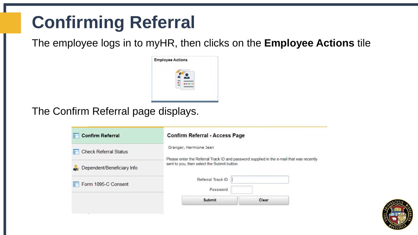## **Confirming Referral**

The employee logs in to myHR, then clicks on the **Employee Actions** tile



The Confirm Referral page displays.

| <b>Confirm Referral</b>      | <b>Confirm Referral - Access Page</b><br>Granger, Hermione Jean<br>Please enter the Referral Track ID and password supplied in the e-mail that was recently<br>sent to you, then select the Submit button. |       |  |  |
|------------------------------|------------------------------------------------------------------------------------------------------------------------------------------------------------------------------------------------------------|-------|--|--|
| <b>Check Referral Status</b> |                                                                                                                                                                                                            |       |  |  |
| Dependent/Beneficiary Info   |                                                                                                                                                                                                            |       |  |  |
| Form 1095-C Consent          | Referral Track ID<br>Password                                                                                                                                                                              |       |  |  |
|                              | Submit                                                                                                                                                                                                     | Clear |  |  |
|                              |                                                                                                                                                                                                            |       |  |  |

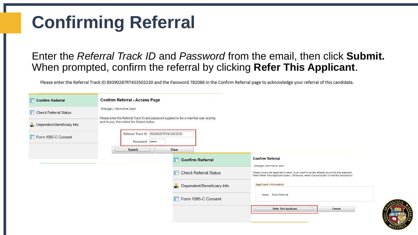## **Confirming Referral**

#### Enter the *Referral Track ID* and *Password* from the email, then click **Submit.**  When prompted, confirm the referral by clicking **Refer This Applicant**.

Please enter the Referral Track ID 89390287RT433503230 and the Password 782086 in the Confirm Referral page to acknowledge your referral of this candidate.

| Confirm Referral           | <b>Confirm Referral - Access Page</b>                                                                                                                             |                            |                                                                                                                                                                                               |        |  |  |
|----------------------------|-------------------------------------------------------------------------------------------------------------------------------------------------------------------|----------------------------|-----------------------------------------------------------------------------------------------------------------------------------------------------------------------------------------------|--------|--|--|
| Check Referral Status      | Granger, Hermione Jean<br>Please enter the Referral Track ID and password supplied in the e-mail that was recently<br>sent to you, then select the Submit button. |                            |                                                                                                                                                                                               |        |  |  |
| Dependent/Beneficiary Info |                                                                                                                                                                   |                            |                                                                                                                                                                                               |        |  |  |
| Form 1095-C Consent        | Referral Track ID 89390287RT433503230<br>Password                                                                                                                 |                            |                                                                                                                                                                                               |        |  |  |
|                            | Submit<br>Clear                                                                                                                                                   |                            |                                                                                                                                                                                               |        |  |  |
|                            | F                                                                                                                                                                 | <b>Confirm Referral</b>    | <b>Confirm Referral</b><br>Granger, Hermione Jean                                                                                                                                             |        |  |  |
|                            |                                                                                                                                                                   | Check Referral Status      | Please review the applicant's name. If you want to be the referral source for this applicant,<br>Select Refer This Applicant button. Otherwise, select Cancel button to end this transaction. |        |  |  |
|                            |                                                                                                                                                                   | Dependent/Beneficiary Info | <b>Applicant Information</b>                                                                                                                                                                  |        |  |  |
|                            |                                                                                                                                                                   | Form 1095-C Consent        | Name Tester, Referral                                                                                                                                                                         |        |  |  |
|                            |                                                                                                                                                                   |                            | <b>Refer This Applicant</b>                                                                                                                                                                   | Cancel |  |  |
|                            |                                                                                                                                                                   |                            |                                                                                                                                                                                               |        |  |  |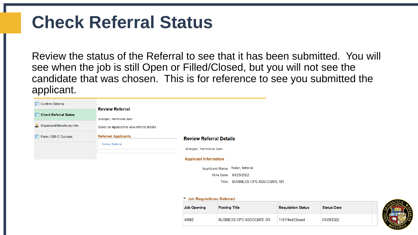## **Check Referral Status**

Review the status of the Referral to see that it has been submitted. You will see when the job is still Open or Filled/Closed, but you will not see the candidate that was chosen. This is for reference to see you submitted the applicant.

| <b>Confirm Referral</b>      |                                                       |                                                                           |
|------------------------------|-------------------------------------------------------|---------------------------------------------------------------------------|
| <b>Check Referral Status</b> | <b>Review Referral</b><br>Granger, Hermione Jean      |                                                                           |
| Dependent/Beneficiary Info   | Select an Applicant to view referral details.         |                                                                           |
| Form 1095-C Consent          | <b>Referred Applicants</b><br><b>Tester, Referral</b> | <b>Review Referral Details</b><br>Granger, Hermione Jean                  |
|                              |                                                       | <b>Applicant Information</b><br>Tester, Referral<br><b>Applicant Name</b> |

03/25/2022 **Hire Date** 

> **BUSINESS OPS ASSOCIATE SR** Title

#### ▼ Job Requisitions Referred

| <b>Job Opening</b> | <b>Posting Title</b>             | <b>Requisition Status</b> | <b>Status Date</b> |  |
|--------------------|----------------------------------|---------------------------|--------------------|--|
| 40982              | <b>BUSINESS OPS ASSOCIATE SR</b> | 110 Filled/Closed         | 03/29/2022         |  |